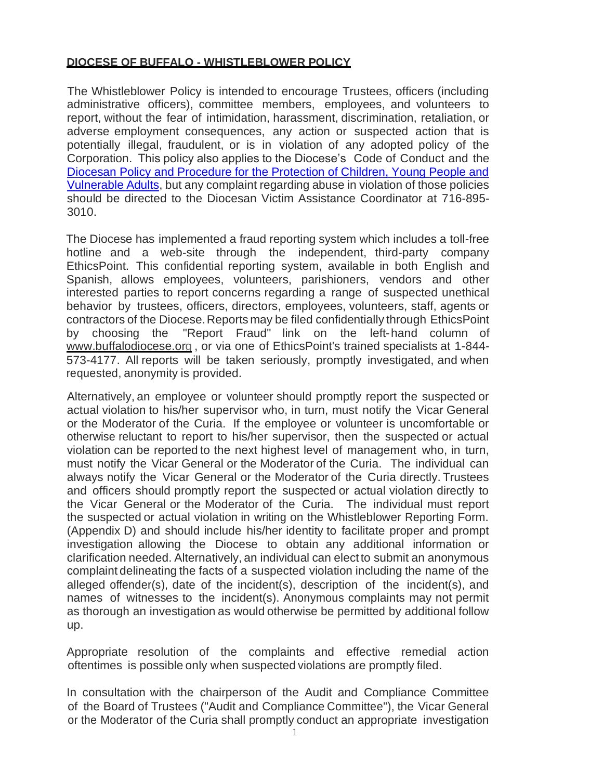## **DIOCESE OF BUFFALO - WHISTLEBLOWER POLICY**

The Whistleblower Policy is intended to encourage Trustees, officers (including administrative officers), committee members, employees, and volunteers to report, without the fear of intimidation, harassment, discrimination, retaliation, or adverse employment consequences, any action or suspected action that is potentially illegal, fraudulent, or is in violation of any adopted policy of the Corporation. This policy also applies to the Diocese's Code of Conduct and the Diocesan Policy and Procedure for the Protection of Children, Young People and Vulnerable Adults, but any complaint regarding abuse in violation of those policies should be directed to the Diocesan Victim Assistance Coordinator at 716-895- 3010.

The Diocese has implemented a fraud reporting system which includes a toll-free hotline and a web-site through the independent, third-party company EthicsPoint. This confidential reporting system, available in both English and Spanish, allows employees, volunteers, parishioners, vendors and other interested parties to report concerns regarding a range of suspected unethical behavior by trustees, officers, directors, employees, volunteers, staff, agents or contractors of the Diocese. Reports may be filed confidentially through EthicsPoint by choosing the "Report Fraud" link on the left-hand column of www.buffalodiocese.org, or via one of EthicsPoint's trained specialists at 1-844-573-4177. All reports will be taken seriously, promptly investigated, and when requested, anonymity is provided.

Alternatively, an employee or volunteer should promptly report the suspected or actual violation to his/her supervisor who, in turn, must notify the Vicar General or the Moderator of the Curia. If the employee or volunteer is uncomfortable or otherwise reluctant to report to his/her supervisor, then the suspected or actual violation can be reported to the next highest level of management who, in turn, must notify the Vicar General or the Moderator of the Curia. The individual can always notify the Vicar General or the Moderator of the Curia directly. Trustees and officers should promptly report the suspected or actual violation directly to the Vicar General or the Moderator of the Curia. The individual must report the suspected or actual violation in writing on the Whistleblower Reporting Form. (Appendix D) and should include his/her identity to facilitate proper and prompt investigation allowing the Diocese to obtain any additional information or clarification needed. Alternatively, an individual can elect to submit an anonymous complaint delineating the facts of a suspected violation including the name of the alleged offender(s), date of the incident(s), description of the incident(s), and names of witnesses to the incident(s). Anonymous complaints may not permit as thorough an investigation as would otherwise be permitted by additional follow up.

Appropriate resolution of the complaints and effective remedial action oftentimes is possible only when suspected violations are promptly filed.

In consultation with the chairperson of the Audit and Compliance Committee of the Board of Trustees ("Audit and Compliance Committee"), the Vicar General or the Moderator of the Curia shall promptly conduct an appropriate investigation